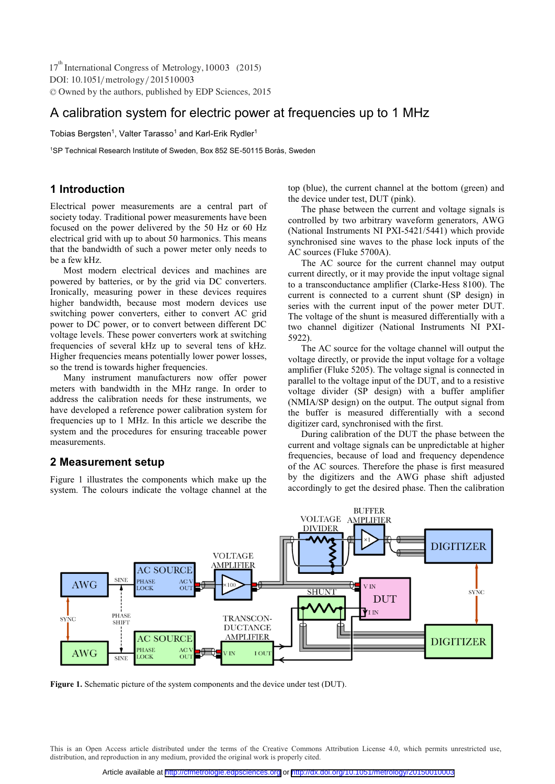# A calibration system for electric power at frequencies up to 1 MHz

Tobias Bergsten<sup>1</sup>, Valter Tarasso<sup>1</sup> and Karl-Erik Rydler<sup>1</sup>

1 SP Technical Research Institute of Sweden, Box 852 SE-50115 Borås, Sweden

# **1 Introduction**

Electrical power measurements are a central part of society today. Traditional power measurements have been focused on the power delivered by the 50 Hz or 60 Hz electrical grid with up to about 50 harmonics. This means that the bandwidth of such a power meter only needs to be a few kHz.

Most modern electrical devices and machines are powered by batteries, or by the grid via DC converters. Ironically, measuring power in these devices requires higher bandwidth, because most modern devices use switching power converters, either to convert AC grid power to DC power, or to convert between different DC voltage levels. These power converters work at switching frequencies of several kHz up to several tens of kHz. Higher frequencies means potentially lower power losses, so the trend is towards higher frequencies.

Many instrument manufacturers now offer power meters with bandwidth in the MHz range. In order to address the calibration needs for these instruments, we have developed a reference power calibration system for frequencies up to 1 MHz. In this article we describe the system and the procedures for ensuring traceable power measurements.

## **2 Measurement setup**

Figure 1 illustrates the components which make up the system. The colours indicate the voltage channel at the top (blue), the current channel at the bottom (green) and the device under test, DUT (pink).

The phase between the current and voltage signals is controlled by two arbitrary waveform generators, AWG (National Instruments NI PXI-5421/5441) which provide synchronised sine waves to the phase lock inputs of the AC sources (Fluke 5700A).

The AC source for the current channel may output current directly, or it may provide the input voltage signal to a transconductance amplifier (Clarke-Hess 8100). The current is connected to a current shunt (SP design) in series with the current input of the power meter DUT. The voltage of the shunt is measured differentially with a two channel digitizer (National Instruments NI PXI-5922).

The AC source for the voltage channel will output the voltage directly, or provide the input voltage for a voltage amplifier (Fluke 5205). The voltage signal is connected in parallel to the voltage input of the DUT, and to a resistive voltage divider (SP design) with a buffer amplifier (NMIA/SP design) on the output. The output signal from the buffer is measured differentially with a second digitizer card, synchronised with the first.

During calibration of the DUT the phase between the current and voltage signals can be unpredictable at higher frequencies, because of load and frequency dependence of the AC sources. Therefore the phase is first measured by the digitizers and the AWG phase shift adjusted accordingly to get the desired phase. Then the calibration



**Figure 1.** Schematic picture of the system components and the device under test (DUT).

This is an Open Access article distributed under the terms of the Creative Commons Attribution License 4.0, which permits unrestricted use, distribution, and reproduction in any medium, provided the original work is properly cited.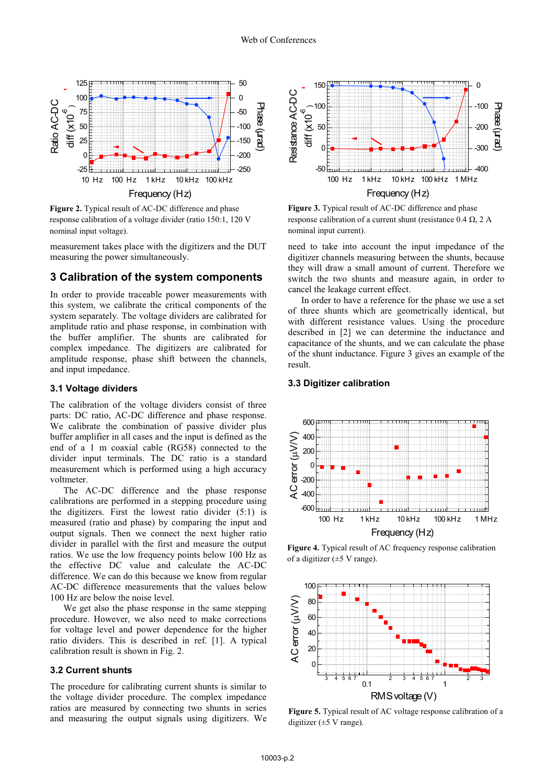

**Figure 2.** Typical result of AC-DC difference and phase response calibration of a voltage divider (ratio 150:1, 120 V nominal input voltage).

measurement takes place with the digitizers and the DUT measuring the power simultaneously.

#### **3 Calibration of the system components**

In order to provide traceable power measurements with this system, we calibrate the critical components of the system separately. The voltage dividers are calibrated for amplitude ratio and phase response, in combination with the buffer amplifier. The shunts are calibrated for complex impedance. The digitizers are calibrated for amplitude response, phase shift between the channels, and input impedance.

#### **3.1 Voltage dividers**

The calibration of the voltage dividers consist of three parts: DC ratio, AC-DC difference and phase response. We calibrate the combination of passive divider plus buffer amplifier in all cases and the input is defined as the end of a 1 m coaxial cable (RG58) connected to the divider input terminals. The DC ratio is a standard measurement which is performed using a high accuracy voltmeter.

The AC-DC difference and the phase response calibrations are performed in a stepping procedure using the digitizers. First the lowest ratio divider (5:1) is measured (ratio and phase) by comparing the input and output signals. Then we connect the next higher ratio divider in parallel with the first and measure the output ratios. We use the low frequency points below 100 Hz as the effective DC value and calculate the AC-DC difference. We can do this because we know from regular AC-DC difference measurements that the values below 100 Hz are below the noise level.

We get also the phase response in the same stepping procedure. However, we also need to make corrections for voltage level and power dependence for the higher ratio dividers. This is described in ref. [1]. A typical calibration result is shown in Fig. 2.

#### **3.2 Current shunts**

The procedure for calibrating current shunts is similar to the voltage divider procedure. The complex impedance ratios are measured by connecting two shunts in series and measuring the output signals using digitizers. We



**Figure 3.** Typical result of AC-DC difference and phase response calibration of a current shunt (resistance  $0.4 \Omega$ ,  $2 A$ nominal input current).

need to take into account the input impedance of the digitizer channels measuring between the shunts, because they will draw a small amount of current. Therefore we switch the two shunts and measure again, in order to cancel the leakage current effect.

In order to have a reference for the phase we use a set of three shunts which are geometrically identical, but with different resistance values. Using the procedure described in [2] we can determine the inductance and capacitance of the shunts, and we can calculate the phase of the shunt inductance. Figure 3 gives an example of the result.

#### **3.3 Digitizer calibration**



**Figure 4.** Typical result of AC frequency response calibration of a digitizer  $(\pm 5 \text{ V range})$ .



**Figure 5.** Typical result of AC voltage response calibration of a digitizer ( $\pm$ 5 V range).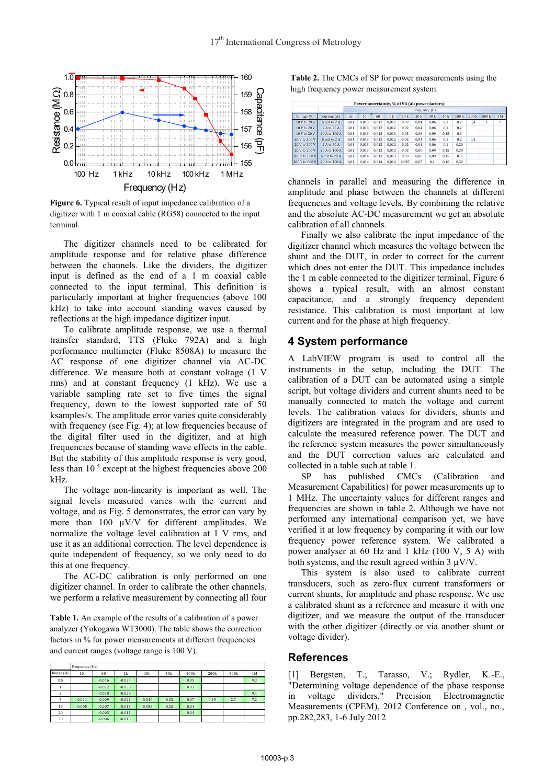

**Figure 6.** Typical result of input impedance calibration of a digitizer with 1 m coaxial cable (RG58) connected to the input terminal.

The digitizer channels need to be calibrated for amplitude response and for relative phase difference between the channels. Like the dividers, the digitizer input is defined as the end of a 1 m coaxial cable connected to the input terminal. This definition is particularly important at higher frequencies (above 100 kHz) to take into account standing waves caused by reflections at the high impedance digitizer input.

To calibrate amplitude response, we use a thermal transfer standard, TTS (Fluke 792A) and a high performance multimeter (Fluke 8508A) to measure the AC response of one digitizer channel via AC-DC difference. We measure both at constant voltage (1 V rms) and at constant frequency (1 kHz). We use a variable sampling rate set to five times the signal frequency, down to the lowest supported rate of 50 ksamples/s. The amplitude error varies quite considerably with frequency (see Fig. 4); at low frequencies because of the digital filter used in the digitizer, and at high frequencies because of standing wave effects in the cable. But the stability of this amplitude response is very good, less than 10-5 except at the highest frequencies above 200 kHz.

The voltage non-linearity is important as well. The signal levels measured varies with the current and voltage, and as Fig. 5 demonstrates, the error can vary by more than 100  $\mu$ V/V for different amplitudes. We normalize the voltage level calibration at 1 V rms, and use it as an additional correction. The level dependence is quite independent of frequency, so we only need to do this at one frequency.

The AC-DC calibration is only performed on one digitizer channel. In order to calibrate the other channels, we perform a relative measurement by connecting all four

**Table 1.** An example of the results of a calibration of a power analyzer (Yokogawa WT3000). The table shows the correction factors in % for power measurements at different frequencies and current ranges (voltage range is 100 V).

|                | Frequency (Hz) |          |          |          |                 |      |      |                  |     |  |  |
|----------------|----------------|----------|----------|----------|-----------------|------|------|------------------|-----|--|--|
| Range (A)      | 10             | 60       | 1k       | 10k      | 50 <sub>k</sub> | 100k | 200k | 500 <sub>k</sub> | 1M  |  |  |
| 0.5            |                | $-0.016$ | $-0.034$ |          |                 | 0.05 |      |                  | 9.3 |  |  |
|                |                | $-0.012$ | $-0.030$ |          |                 | 0.03 |      |                  |     |  |  |
| $\overline{2}$ |                | $-0.010$ | $-0.029$ |          |                 |      |      |                  | 9.4 |  |  |
| 5              | $-0.011$       | $-0.009$ | $-0.021$ | $-0.040$ | $-0.02$         | 0.07 | 0.49 | 2.7              | 7.2 |  |  |
| 10             | $-0.005$       | $-0.007$ | $-0.015$ | $-0.038$ | $-0.02$         | 0.04 |      |                  |     |  |  |
| 20             |                | $-0.003$ | $-0.011$ |          |                 | 0.04 |      |                  |     |  |  |
| 30             |                | $-0.006$ | $-0.015$ |          |                 |      |      |                  |     |  |  |

**Table 2.** The CMCs of SP for power measurements using the high frequency power measurement system.

| Power uncertainty, % of VA (all power factors) |               |                |       |       |                |                 |      |      |      |       |       |       |     |
|------------------------------------------------|---------------|----------------|-------|-------|----------------|-----------------|------|------|------|-------|-------|-------|-----|
|                                                |               | Frequency (Hz) |       |       |                |                 |      |      |      |       |       |       |     |
| Voltage (V)                                    | Current (A)   | dc             | 10    | 60    | 1 <sub>k</sub> | 10 <sub>k</sub> | 20 k | 30 k | 50 k | 100 k | 200 k | 500 k | 1 M |
| 10 V to 20 V                                   | 5 mA to 2 A   | 0.01           | 0.013 | 0.012 | 0.012          | 0.02            | 0.04 | 0.06 | 0.1  | 0.2   | 0.4   | 1     | 2   |
| 10 V to 20 V                                   | 2 A to 20 A   | 0.01           | 0.013 | 0.012 | 0.012          | 0.02            | 0.04 | 0.06 | 0.1  | 0.2   |       |       |     |
| 10 V to 20 V                                   | 20 A to 100 A | 0.01           | 0.013 | 0.013 | 0.013          | 0.03            | 0.06 | 0.09 | 0.15 | 0.3   |       |       |     |
| 20 V to 200 V                                  | 5 mA to 2 A   | 0.01           | 0.013 | 0.012 | 0.012          | 0.02            | 0.04 | 0.06 | 0.1  | 0.2   | 0.4   |       |     |
| 20 V to 200 V                                  | 2 A to 20 A   | 0.01           | 0.013 | 0.012 | 0.012          | 0.02            | 0.04 | 0.06 | 0.1  | 0.20  |       |       |     |
| 20 V to 200 V                                  | 20 A to 100 A | 0.01           | 0.013 | 0.013 | 0.013          | 0.03            | 0.06 | 0.09 | 0.15 | 0.30  |       |       |     |
| 200 V to 600 V                                 | 5 mA to 20 A  | 0.01           | 0.014 | 0.013 | 0.013          | 0.03            | 0.06 | 0.09 | 0.15 | 0.3   |       |       |     |
| 200 V to 600 V                                 | 20 A to 100 A | 0.01           | 0.014 | 0.014 | 0.014          | 0.035           | 0.07 | 0.1  | 0.16 | 0.32  |       |       |     |

channels in parallel and measuring the difference in amplitude and phase between the channels at different frequencies and voltage levels. By combining the relative and the absolute AC-DC measurement we get an absolute calibration of all channels.

Finally we also calibrate the input impedance of the digitizer channel which measures the voltage between the shunt and the DUT, in order to correct for the current which does not enter the DUT. This impedance includes the 1 m cable connected to the digitizer terminal. Figure 6 shows a typical result, with an almost constant capacitance, and a strongly frequency dependent resistance. This calibration is most important at low current and for the phase at high frequency.

# **4 System performance**

A LabVIEW program is used to control all the instruments in the setup, including the DUT. The calibration of a DUT can be automated using a simple script, but voltage dividers and current shunts need to be manually connected to match the voltage and current levels. The calibration values for dividers, shunts and digitizers are integrated in the program and are used to calculate the measured reference power. The DUT and the reference system measures the power simultaneously and the DUT correction values are calculated and collected in a table such at table 1.

SP has published CMCs (Calibration and Measurement Capabilities) for power measurements up to 1 MHz. The uncertainty values for different ranges and frequencies are shown in table 2. Although we have not performed any international comparison yet, we have verified it at low frequency by comparing it with our low frequency power reference system. We calibrated a power analyser at 60 Hz and 1 kHz (100 V, 5 A) with both systems, and the result agreed within 3 μV/V.

This system is also used to calibrate current transducers, such as zero-flux current transformers or current shunts, for amplitude and phase response. We use a calibrated shunt as a reference and measure it with one digitizer, and we measure the output of the transducer with the other digitizer (directly or via another shunt or voltage divider).

### **References**

[1] Bergsten, T.; Tarasso, V.; Rydler, K.-E., "Determining voltage dependence of the phase response in voltage dividers," Precision Electromagnetic Measurements (CPEM), 2012 Conference on , vol., no., pp.282,283, 1-6 July 2012